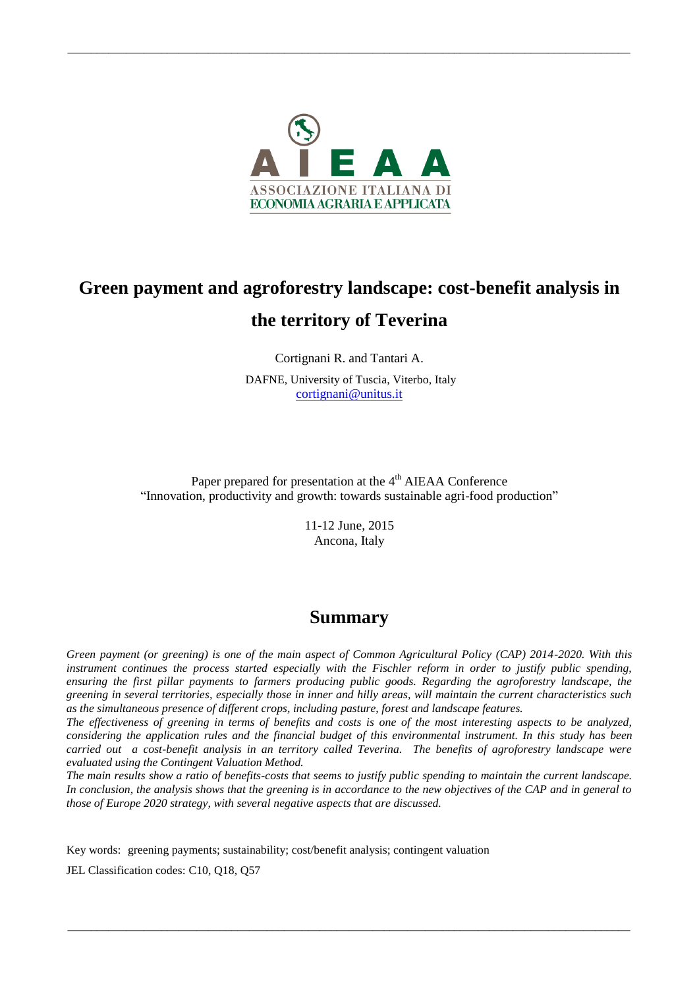

# **Green payment and agroforestry landscape: cost-benefit analysis in the territory of Teverina**

Cortignani R. and Tantari A. DAFNE, University of Tuscia, Viterbo, Italy [cortignani@unitus.it](mailto:cortignani@unitus.it)

Paper prepared for presentation at the 4<sup>th</sup> AIEAA Conference

"Innovation, productivity and growth: towards sustainable agri-food production"

11-12 June, 2015 Ancona, Italy

## **Summary**

*Green payment (or greening) is one of the main aspect of Common Agricultural Policy (CAP) 2014-2020. With this instrument continues the process started especially with the Fischler reform in order to justify public spending, ensuring the first pillar payments to farmers producing public goods. Regarding the agroforestry landscape, the greening in several territories, especially those in inner and hilly areas, will maintain the current characteristics such as the simultaneous presence of different crops, including pasture, forest and landscape features.*

*The effectiveness of greening in terms of benefits and costs is one of the most interesting aspects to be analyzed, considering the application rules and the financial budget of this environmental instrument. In this study has been carried out a cost-benefit analysis in an territory called Teverina. The benefits of agroforestry landscape were evaluated using the Contingent Valuation Method.*

*The main results show a ratio of benefits-costs that seems to justify public spending to maintain the current landscape. In conclusion, the analysis shows that the greening is in accordance to the new objectives of the CAP and in general to those of Europe 2020 strategy, with several negative aspects that are discussed.*

*\_\_\_\_\_\_\_\_\_\_\_\_\_\_\_\_\_\_\_\_\_\_\_\_\_\_\_\_\_\_\_\_\_\_\_\_\_\_\_\_\_\_\_\_\_\_\_\_\_\_\_\_\_\_\_\_\_\_\_\_\_\_\_\_\_\_\_\_\_\_\_\_\_\_\_\_\_\_\_\_\_\_\_\_\_\_\_\_\_\_\_\_\_\_\_\_*

Key words: greening payments; sustainability; cost/benefit analysis; contingent valuation

JEL Classification codes: C10, Q18, Q57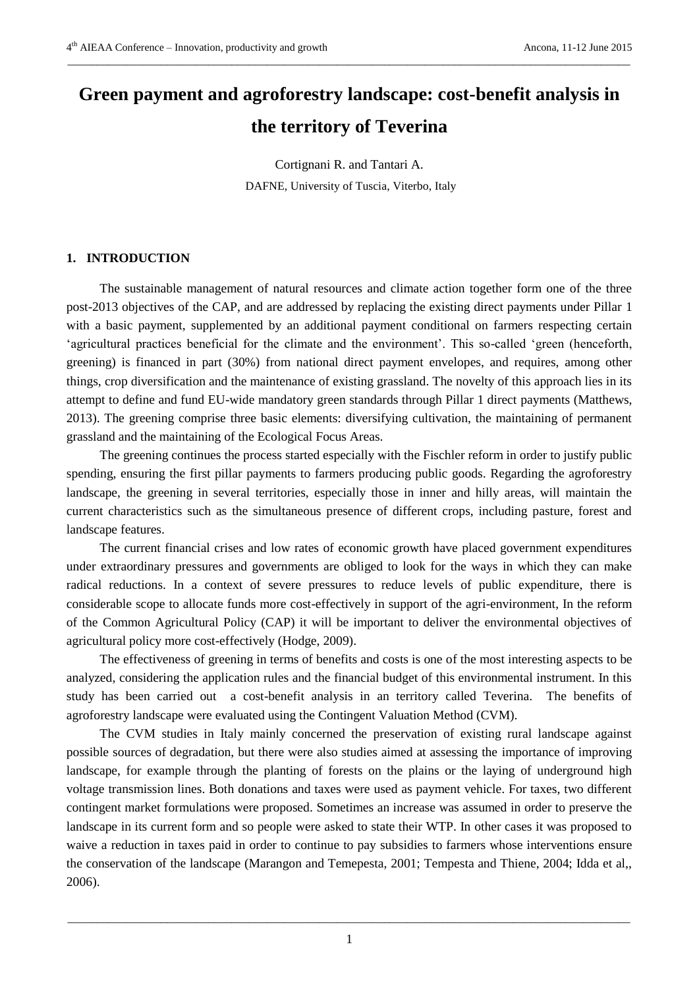# **Green payment and agroforestry landscape: cost-benefit analysis in the territory of Teverina**

*\_\_\_\_\_\_\_\_\_\_\_\_\_\_\_\_\_\_\_\_\_\_\_\_\_\_\_\_\_\_\_\_\_\_\_\_\_\_\_\_\_\_\_\_\_\_\_\_\_\_\_\_\_\_\_\_\_\_\_\_\_\_\_\_\_\_\_\_\_\_\_\_\_\_\_\_\_\_\_\_\_\_\_\_\_\_\_\_\_\_\_\_\_\_\_\_*

Cortignani R. and Tantari A. DAFNE, University of Tuscia, Viterbo, Italy

#### **1. INTRODUCTION**

The sustainable management of natural resources and climate action together form one of the three post-2013 objectives of the CAP, and are addressed by replacing the existing direct payments under Pillar 1 with a basic payment, supplemented by an additional payment conditional on farmers respecting certain 'agricultural practices beneficial for the climate and the environment'. This so-called 'green (henceforth, greening) is financed in part (30%) from national direct payment envelopes, and requires, among other things, crop diversification and the maintenance of existing grassland. The novelty of this approach lies in its attempt to define and fund EU-wide mandatory green standards through Pillar 1 direct payments (Matthews, 2013). The greening comprise three basic elements: diversifying cultivation, the maintaining of permanent grassland and the maintaining of the Ecological Focus Areas.

The greening continues the process started especially with the Fischler reform in order to justify public spending, ensuring the first pillar payments to farmers producing public goods. Regarding the agroforestry landscape, the greening in several territories, especially those in inner and hilly areas, will maintain the current characteristics such as the simultaneous presence of different crops, including pasture, forest and landscape features.

The current financial crises and low rates of economic growth have placed government expenditures under extraordinary pressures and governments are obliged to look for the ways in which they can make radical reductions. In a context of severe pressures to reduce levels of public expenditure, there is considerable scope to allocate funds more cost-effectively in support of the agri-environment, In the reform of the Common Agricultural Policy (CAP) it will be important to deliver the environmental objectives of agricultural policy more cost-effectively (Hodge, 2009).

The effectiveness of greening in terms of benefits and costs is one of the most interesting aspects to be analyzed, considering the application rules and the financial budget of this environmental instrument. In this study has been carried out a cost-benefit analysis in an territory called Teverina. The benefits of agroforestry landscape were evaluated using the Contingent Valuation Method (CVM).

The CVM studies in Italy mainly concerned the preservation of existing rural landscape against possible sources of degradation, but there were also studies aimed at assessing the importance of improving landscape, for example through the planting of forests on the plains or the laying of underground high voltage transmission lines. Both donations and taxes were used as payment vehicle. For taxes, two different contingent market formulations were proposed. Sometimes an increase was assumed in order to preserve the landscape in its current form and so people were asked to state their WTP. In other cases it was proposed to waive a reduction in taxes paid in order to continue to pay subsidies to farmers whose interventions ensure the conservation of the landscape (Marangon and Temepesta, 2001; Tempesta and Thiene, 2004; Idda et al,, 2006).

*\_\_\_\_\_\_\_\_\_\_\_\_\_\_\_\_\_\_\_\_\_\_\_\_\_\_\_\_\_\_\_\_\_\_\_\_\_\_\_\_\_\_\_\_\_\_\_\_\_\_\_\_\_\_\_\_\_\_\_\_\_\_\_\_\_\_\_\_\_\_\_\_\_\_\_\_\_\_\_\_\_\_\_\_\_\_\_\_\_\_\_\_\_\_\_\_* 1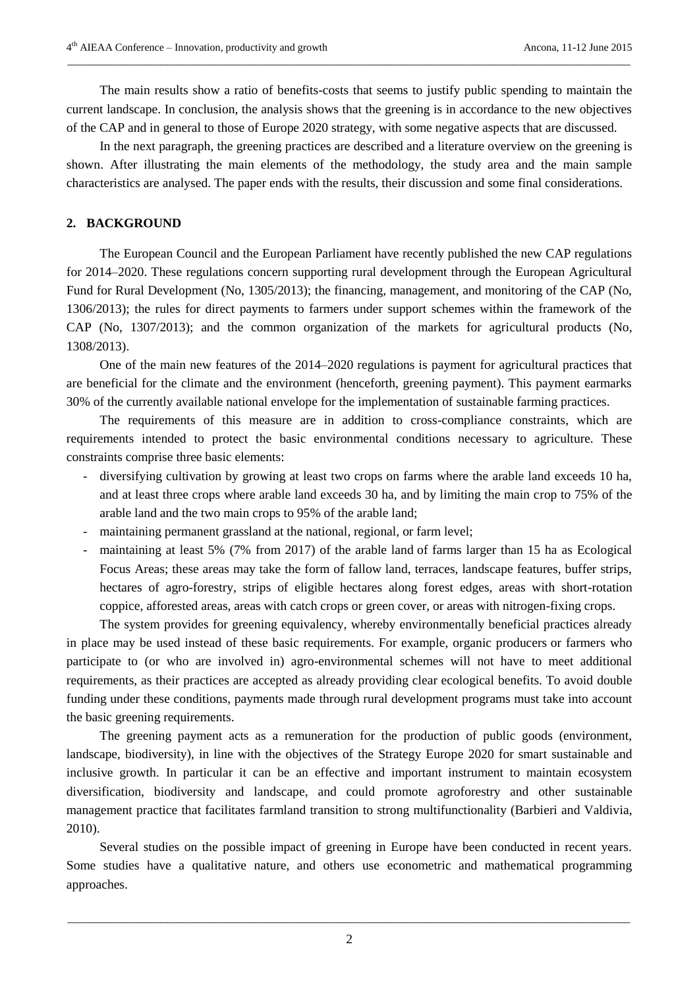The main results show a ratio of benefits-costs that seems to justify public spending to maintain the current landscape. In conclusion, the analysis shows that the greening is in accordance to the new objectives of the CAP and in general to those of Europe 2020 strategy, with some negative aspects that are discussed.

*\_\_\_\_\_\_\_\_\_\_\_\_\_\_\_\_\_\_\_\_\_\_\_\_\_\_\_\_\_\_\_\_\_\_\_\_\_\_\_\_\_\_\_\_\_\_\_\_\_\_\_\_\_\_\_\_\_\_\_\_\_\_\_\_\_\_\_\_\_\_\_\_\_\_\_\_\_\_\_\_\_\_\_\_\_\_\_\_\_\_\_\_\_\_\_\_*

In the next paragraph, the greening practices are described and a literature overview on the greening is shown. After illustrating the main elements of the methodology, the study area and the main sample characteristics are analysed. The paper ends with the results, their discussion and some final considerations.

### **2. BACKGROUND**

The European Council and the European Parliament have recently published the new CAP regulations for 2014–2020. These regulations concern supporting rural development through the European Agricultural Fund for Rural Development (No, 1305/2013); the financing, management, and monitoring of the CAP (No, 1306/2013); the rules for direct payments to farmers under support schemes within the framework of the CAP (No, 1307/2013); and the common organization of the markets for agricultural products (No, 1308/2013).

One of the main new features of the 2014–2020 regulations is payment for agricultural practices that are beneficial for the climate and the environment (henceforth, greening payment). This payment earmarks 30% of the currently available national envelope for the implementation of sustainable farming practices.

The requirements of this measure are in addition to cross-compliance constraints, which are requirements intended to protect the basic environmental conditions necessary to agriculture. These constraints comprise three basic elements:

- diversifying cultivation by growing at least two crops on farms where the arable land exceeds 10 ha, and at least three crops where arable land exceeds 30 ha, and by limiting the main crop to 75% of the arable land and the two main crops to 95% of the arable land;
- maintaining permanent grassland at the national, regional, or farm level;
- maintaining at least 5% (7% from 2017) of the arable land of farms larger than 15 ha as Ecological Focus Areas; these areas may take the form of fallow land, terraces, landscape features, buffer strips, hectares of agro-forestry, strips of eligible hectares along forest edges, areas with short-rotation coppice, afforested areas, areas with catch crops or green cover, or areas with nitrogen-fixing crops.

The system provides for greening equivalency, whereby environmentally beneficial practices already in place may be used instead of these basic requirements. For example, organic producers or farmers who participate to (or who are involved in) agro-environmental schemes will not have to meet additional requirements, as their practices are accepted as already providing clear ecological benefits. To avoid double funding under these conditions, payments made through rural development programs must take into account the basic greening requirements.

The greening payment acts as a remuneration for the production of public goods (environment, landscape, biodiversity), in line with the objectives of the Strategy Europe 2020 for smart sustainable and inclusive growth. In particular it can be an effective and important instrument to maintain ecosystem diversification, biodiversity and landscape, and could promote agroforestry and other sustainable management practice that facilitates farmland transition to strong multifunctionality (Barbieri and Valdivia, 2010).

Several studies on the possible impact of greening in Europe have been conducted in recent years. Some studies have a qualitative nature, and others use econometric and mathematical programming approaches.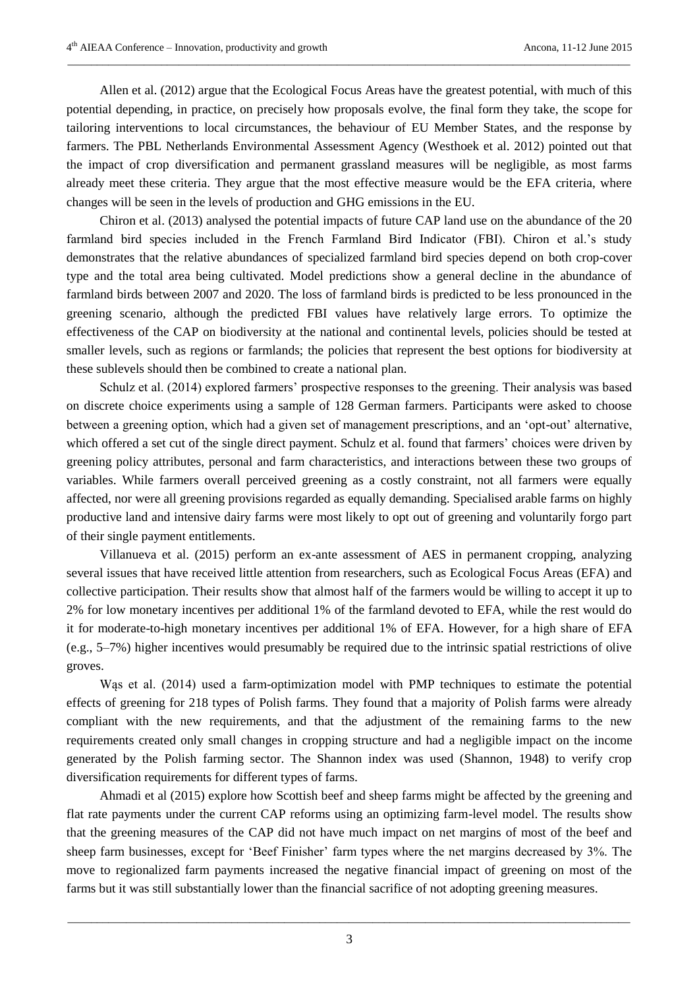Allen et al. (2012) argue that the Ecological Focus Areas have the greatest potential, with much of this potential depending, in practice, on precisely how proposals evolve, the final form they take, the scope for tailoring interventions to local circumstances, the behaviour of EU Member States, and the response by farmers. The PBL Netherlands Environmental Assessment Agency (Westhoek et al. 2012) pointed out that the impact of crop diversification and permanent grassland measures will be negligible, as most farms already meet these criteria. They argue that the most effective measure would be the EFA criteria, where changes will be seen in the levels of production and GHG emissions in the EU.

*\_\_\_\_\_\_\_\_\_\_\_\_\_\_\_\_\_\_\_\_\_\_\_\_\_\_\_\_\_\_\_\_\_\_\_\_\_\_\_\_\_\_\_\_\_\_\_\_\_\_\_\_\_\_\_\_\_\_\_\_\_\_\_\_\_\_\_\_\_\_\_\_\_\_\_\_\_\_\_\_\_\_\_\_\_\_\_\_\_\_\_\_\_\_\_\_*

Chiron et al. (2013) analysed the potential impacts of future CAP land use on the abundance of the 20 farmland bird species included in the French Farmland Bird Indicator (FBI). Chiron et al.'s study demonstrates that the relative abundances of specialized farmland bird species depend on both crop-cover type and the total area being cultivated. Model predictions show a general decline in the abundance of farmland birds between 2007 and 2020. The loss of farmland birds is predicted to be less pronounced in the greening scenario, although the predicted FBI values have relatively large errors. To optimize the effectiveness of the CAP on biodiversity at the national and continental levels, policies should be tested at smaller levels, such as regions or farmlands; the policies that represent the best options for biodiversity at these sublevels should then be combined to create a national plan.

Schulz et al. (2014) explored farmers' prospective responses to the greening. Their analysis was based on discrete choice experiments using a sample of 128 German farmers. Participants were asked to choose between a greening option, which had a given set of management prescriptions, and an 'opt-out' alternative, which offered a set cut of the single direct payment. Schulz et al. found that farmers' choices were driven by greening policy attributes, personal and farm characteristics, and interactions between these two groups of variables. While farmers overall perceived greening as a costly constraint, not all farmers were equally affected, nor were all greening provisions regarded as equally demanding. Specialised arable farms on highly productive land and intensive dairy farms were most likely to opt out of greening and voluntarily forgo part of their single payment entitlements.

Villanueva et al. (2015) perform an ex-ante assessment of AES in permanent cropping, analyzing several issues that have received little attention from researchers, such as Ecological Focus Areas (EFA) and collective participation. Their results show that almost half of the farmers would be willing to accept it up to 2% for low monetary incentives per additional 1% of the farmland devoted to EFA, while the rest would do it for moderate-to-high monetary incentives per additional 1% of EFA. However, for a high share of EFA (e.g., 5–7%) higher incentives would presumably be required due to the intrinsic spatial restrictions of olive groves.

Wąs et al. (2014) used a farm-optimization model with PMP techniques to estimate the potential effects of greening for 218 types of Polish farms. They found that a majority of Polish farms were already compliant with the new requirements, and that the adjustment of the remaining farms to the new requirements created only small changes in cropping structure and had a negligible impact on the income generated by the Polish farming sector. The Shannon index was used (Shannon, 1948) to verify crop diversification requirements for different types of farms.

Ahmadi et al (2015) explore how Scottish beef and sheep farms might be affected by the greening and flat rate payments under the current CAP reforms using an optimizing farm-level model. The results show that the greening measures of the CAP did not have much impact on net margins of most of the beef and sheep farm businesses, except for 'Beef Finisher' farm types where the net margins decreased by 3%. The move to regionalized farm payments increased the negative financial impact of greening on most of the farms but it was still substantially lower than the financial sacrifice of not adopting greening measures.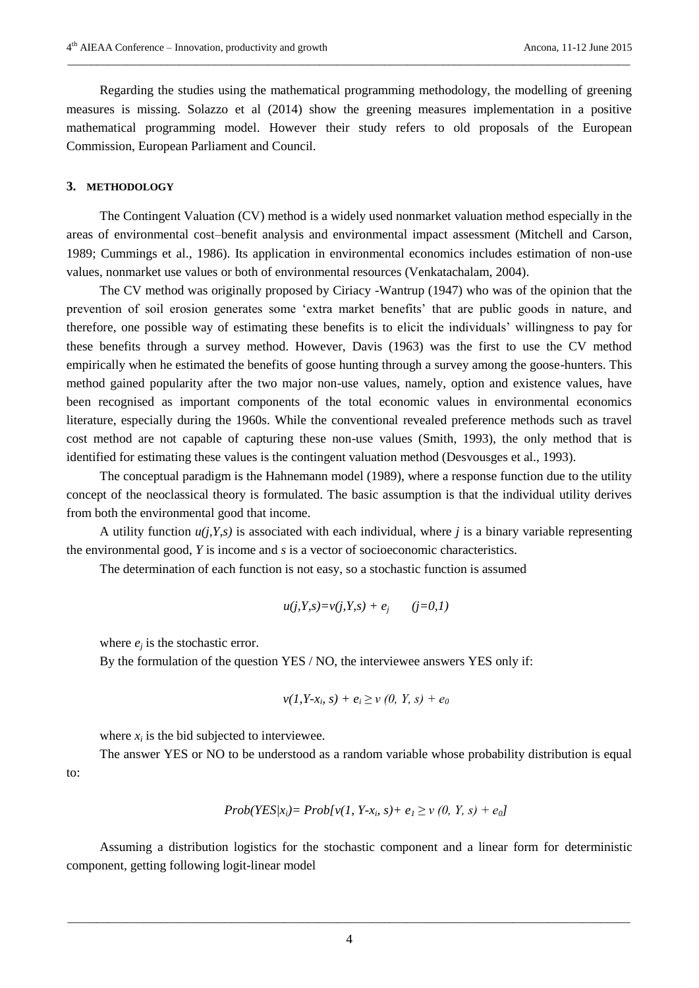Regarding the studies using the mathematical programming methodology, the modelling of greening measures is missing. Solazzo et al (2014) show the greening measures implementation in a positive mathematical programming model. However their study refers to old proposals of the European Commission, European Parliament and Council.

*\_\_\_\_\_\_\_\_\_\_\_\_\_\_\_\_\_\_\_\_\_\_\_\_\_\_\_\_\_\_\_\_\_\_\_\_\_\_\_\_\_\_\_\_\_\_\_\_\_\_\_\_\_\_\_\_\_\_\_\_\_\_\_\_\_\_\_\_\_\_\_\_\_\_\_\_\_\_\_\_\_\_\_\_\_\_\_\_\_\_\_\_\_\_\_\_*

#### **3. METHODOLOGY**

The Contingent Valuation (CV) method is a widely used nonmarket valuation method especially in the areas of environmental cost–benefit analysis and environmental impact assessment (Mitchell and Carson, 1989; Cummings et al., 1986). Its application in environmental economics includes estimation of non-use values, nonmarket use values or both of environmental resources (Venkatachalam, 2004).

The CV method was originally proposed by Ciriacy -Wantrup (1947) who was of the opinion that the prevention of soil erosion generates some 'extra market benefits' that are public goods in nature, and therefore, one possible way of estimating these benefits is to elicit the individuals' willingness to pay for these benefits through a survey method. However, Davis (1963) was the first to use the CV method empirically when he estimated the benefits of goose hunting through a survey among the goose-hunters. This method gained popularity after the two major non-use values, namely, option and existence values, have been recognised as important components of the total economic values in environmental economics literature, especially during the 1960s. While the conventional revealed preference methods such as travel cost method are not capable of capturing these non-use values (Smith, 1993), the only method that is identified for estimating these values is the contingent valuation method (Desvousges et al., 1993).

The conceptual paradigm is the Hahnemann model (1989), where a response function due to the utility concept of the neoclassical theory is formulated. The basic assumption is that the individual utility derives from both the environmental good that income.

A utility function  $u(j, Y, s)$  is associated with each individual, where *j* is a binary variable representing the environmental good, *Y* is income and *s* is a vector of socioeconomic characteristics.

The determination of each function is not easy, so a stochastic function is assumed

$$
u(j,Y,s) = v(j,Y,s) + e_j \qquad (j=0,1)
$$

where  $e_j$  is the stochastic error.

By the formulation of the question YES / NO, the interviewee answers YES only if:

$$
v(1, Y-x_i, s) + e_i \ge v(0, Y, s) + e_0
$$

where  $x_i$  is the bid subjected to interviewee.

The answer YES or NO to be understood as a random variable whose probability distribution is equal to:

$$
Prob(YES|x_i) = Prob[v(1, Y-x_i, s) + e_1 \ge v(0, Y, s) + e_0]
$$

Assuming a distribution logistics for the stochastic component and a linear form for deterministic component, getting following logit-linear model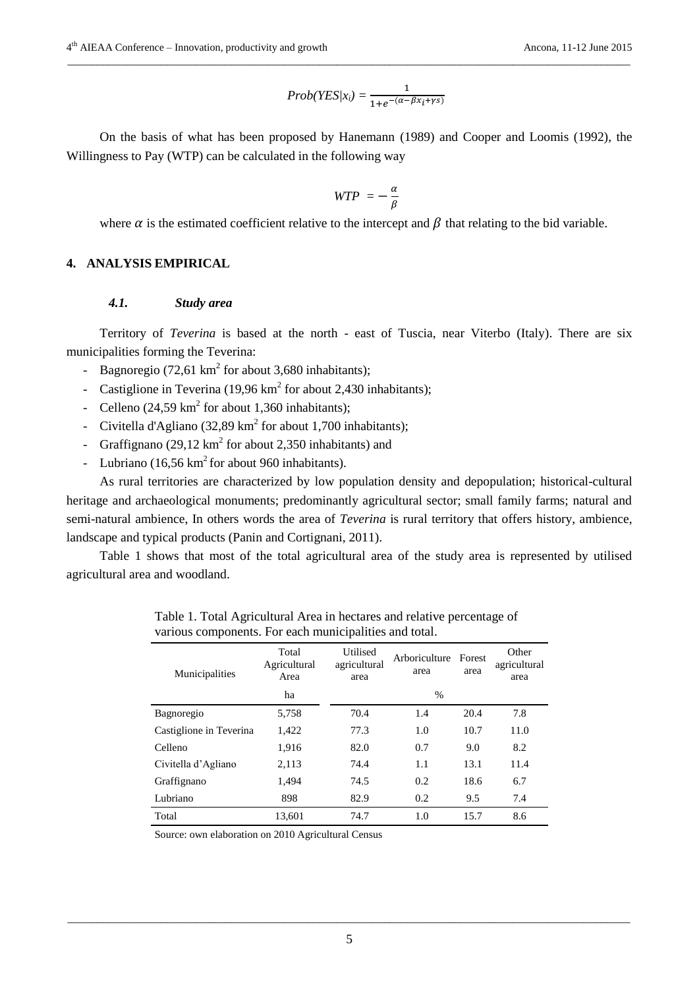$$
Prob(YES|x_i) = \frac{1}{1 + e^{-(\alpha - \beta x_i + \gamma s)}}
$$

On the basis of what has been proposed by Hanemann (1989) and Cooper and Loomis (1992), the Willingness to Pay (WTP) can be calculated in the following way

*\_\_\_\_\_\_\_\_\_\_\_\_\_\_\_\_\_\_\_\_\_\_\_\_\_\_\_\_\_\_\_\_\_\_\_\_\_\_\_\_\_\_\_\_\_\_\_\_\_\_\_\_\_\_\_\_\_\_\_\_\_\_\_\_\_\_\_\_\_\_\_\_\_\_\_\_\_\_\_\_\_\_\_\_\_\_\_\_\_\_\_\_\_\_\_\_*

$$
WTP = -\frac{\alpha}{\beta}
$$

where  $\alpha$  is the estimated coefficient relative to the intercept and  $\beta$  that relating to the bid variable.

#### **4. ANALYSIS EMPIRICAL**

#### *4.1. Study area*

Territory of *Teverina* is based at the north - east of Tuscia, near Viterbo (Italy). There are six municipalities forming the Teverina:

- Bagnoregio (72,61 km<sup>2</sup> for about 3,680 inhabitants);
- Castiglione in Teverina (19,96  $km^2$  for about 2,430 inhabitants);
- Celleno  $(24,59 \text{ km}^2 \text{ for about } 1,360 \text{ inhabitants})$ ;
- Civitella d'Agliano (32,89 km<sup>2</sup> for about 1,700 inhabitants);
- Graffignano  $(29,12 \text{ km}^2 \text{ for about } 2,350 \text{ inhabitants})$  and
- Lubriano (16,56 km<sup>2</sup> for about 960 inhabitants).

As rural territories are characterized by low population density and depopulation; historical-cultural heritage and archaeological monuments; predominantly agricultural sector; small family farms; natural and semi-natural ambience, In others words the area of *Teverina* is rural territory that offers history, ambience, landscape and typical products (Panin and Cortignani, 2011).

Table 1 shows that most of the total agricultural area of the study area is represented by utilised agricultural area and woodland.

| л.                      |                               | л.                               |                              |      |                               |  |
|-------------------------|-------------------------------|----------------------------------|------------------------------|------|-------------------------------|--|
| Municipalities          | Total<br>Agricultural<br>Area | Utilised<br>agricultural<br>area | Arboriculture Forest<br>area | area | Other<br>agricultural<br>area |  |
|                         | ha                            | $\%$                             |                              |      |                               |  |
| Bagnoregio              | 5,758                         | 70.4                             | 1.4                          | 20.4 | 7.8                           |  |
| Castiglione in Teverina | 1,422                         | 77.3                             | 1.0                          | 10.7 | 11.0                          |  |
| Celleno                 | 1,916                         | 82.0                             | 0.7                          | 9.0  | 8.2                           |  |
| Civitella d'Agliano     | 2,113                         | 74.4                             | 1.1                          | 13.1 | 11.4                          |  |
| Graffignano             | 1,494                         | 74.5                             | 0.2                          | 18.6 | 6.7                           |  |
| Lubriano                | 898                           | 82.9                             | 0.2                          | 9.5  | 7.4                           |  |
| Total                   | 13,601                        | 74.7                             | 1.0                          | 15.7 | 8.6                           |  |

Table 1. Total Agricultural Area in hectares and relative percentage of various components. For each municipalities and total.

Source: own elaboration on 2010 Agricultural Census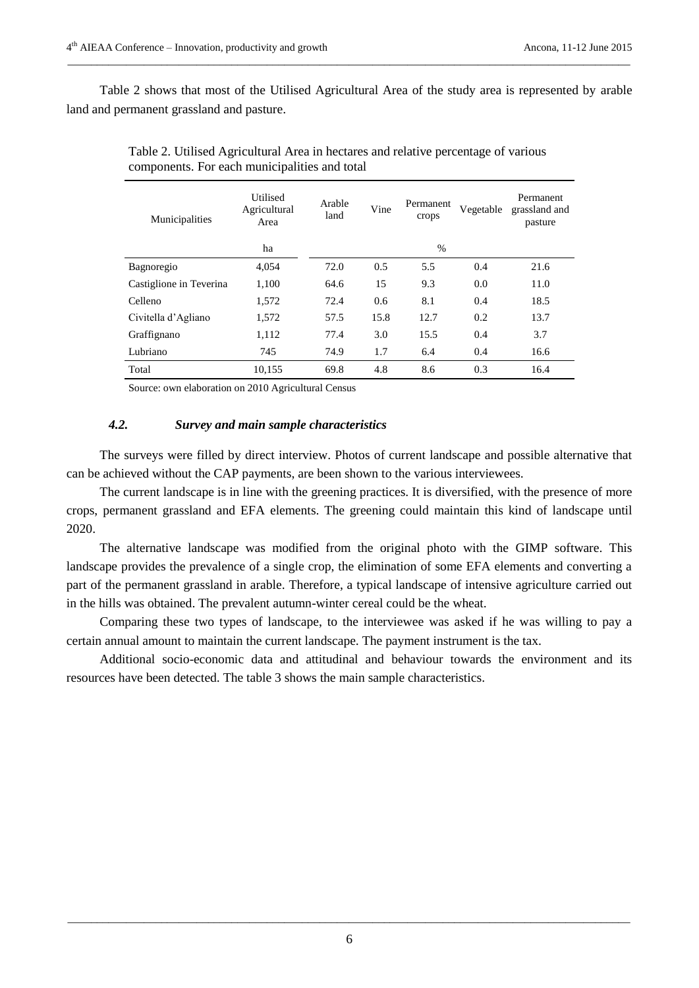Table 2 shows that most of the Utilised Agricultural Area of the study area is represented by arable land and permanent grassland and pasture.

*\_\_\_\_\_\_\_\_\_\_\_\_\_\_\_\_\_\_\_\_\_\_\_\_\_\_\_\_\_\_\_\_\_\_\_\_\_\_\_\_\_\_\_\_\_\_\_\_\_\_\_\_\_\_\_\_\_\_\_\_\_\_\_\_\_\_\_\_\_\_\_\_\_\_\_\_\_\_\_\_\_\_\_\_\_\_\_\_\_\_\_\_\_\_\_\_*

| Municipalities          | Utilised<br>Agricultural<br>Area | Arable<br>land | Vine | Permanent<br>crops | Vegetable | Permanent<br>grassland and<br>pasture |
|-------------------------|----------------------------------|----------------|------|--------------------|-----------|---------------------------------------|
|                         | ha                               | $\frac{0}{0}$  |      |                    |           |                                       |
| Bagnoregio              | 4,054                            | 72.0           | 0.5  | 5.5                | 0.4       | 21.6                                  |
| Castiglione in Teverina | 1,100                            | 64.6           | 15   | 9.3                | 0.0       | 11.0                                  |
| Celleno                 | 1,572                            | 72.4           | 0.6  | 8.1                | 0.4       | 18.5                                  |
| Civitella d'Agliano     | 1,572                            | 57.5           | 15.8 | 12.7               | 0.2       | 13.7                                  |
| Graffignano             | 1,112                            | 77.4           | 3.0  | 15.5               | 0.4       | 3.7                                   |
| Lubriano                | 745                              | 74.9           | 1.7  | 6.4                | 0.4       | 16.6                                  |
| Total                   | 10,155                           | 69.8           | 4.8  | 8.6                | 0.3       | 16.4                                  |

Table 2. Utilised Agricultural Area in hectares and relative percentage of various components. For each municipalities and total

Source: own elaboration on 2010 Agricultural Census

#### *4.2. Survey and main sample characteristics*

The surveys were filled by direct interview. Photos of current landscape and possible alternative that can be achieved without the CAP payments, are been shown to the various interviewees.

The current landscape is in line with the greening practices. It is diversified, with the presence of more crops, permanent grassland and EFA elements. The greening could maintain this kind of landscape until 2020.

The alternative landscape was modified from the original photo with the GIMP software. This landscape provides the prevalence of a single crop, the elimination of some EFA elements and converting a part of the permanent grassland in arable. Therefore, a typical landscape of intensive agriculture carried out in the hills was obtained. The prevalent autumn-winter cereal could be the wheat.

Comparing these two types of landscape, to the interviewee was asked if he was willing to pay a certain annual amount to maintain the current landscape. The payment instrument is the tax.

Additional socio-economic data and attitudinal and behaviour towards the environment and its resources have been detected. The table 3 shows the main sample characteristics.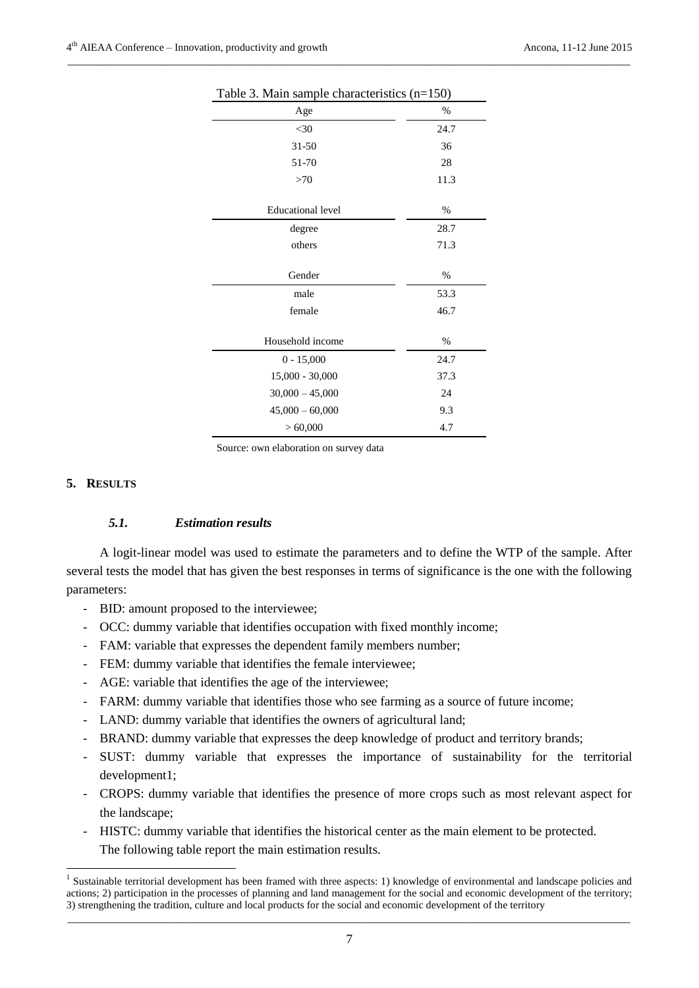| Table 3. Main sample characteristics $(n=150)$ |      |  |  |
|------------------------------------------------|------|--|--|
| Age                                            | $\%$ |  |  |
| $<$ 30                                         | 24.7 |  |  |
| $31 - 50$                                      | 36   |  |  |
| 51-70                                          | 28   |  |  |
| >70                                            | 11.3 |  |  |
| <b>Educational</b> level                       | %    |  |  |
| degree                                         | 28.7 |  |  |
| others                                         | 71.3 |  |  |
| Gender                                         | %    |  |  |
| male                                           | 53.3 |  |  |
| female                                         | 46.7 |  |  |
| Household income                               | $\%$ |  |  |
| $0 - 15,000$                                   | 24.7 |  |  |
| $15,000 - 30,000$                              | 37.3 |  |  |
| $30,000 - 45,000$                              | 24   |  |  |
| $45,000 - 60,000$                              | 9.3  |  |  |
| > 60,000                                       | 4.7  |  |  |

Source: own elaboration on survey data

#### **5. RESULTS**

1

#### *5.1. Estimation results*

A logit-linear model was used to estimate the parameters and to define the WTP of the sample. After several tests the model that has given the best responses in terms of significance is the one with the following parameters:

- BID: amount proposed to the interviewee;
- OCC: dummy variable that identifies occupation with fixed monthly income;
- FAM: variable that expresses the dependent family members number;
- FEM: dummy variable that identifies the female interviewee;
- AGE: variable that identifies the age of the interviewee;
- FARM: dummy variable that identifies those who see farming as a source of future income;
- LAND: dummy variable that identifies the owners of agricultural land;
- BRAND: dummy variable that expresses the deep knowledge of product and territory brands;
- SUST: dummy variable that expresses the importance of sustainability for the territorial development1;
- CROPS: dummy variable that identifies the presence of more crops such as most relevant aspect for the landscape;
- HISTC: dummy variable that identifies the historical center as the main element to be protected. The following table report the main estimation results.

<sup>&</sup>lt;sup>1</sup> Sustainable territorial development has been framed with three aspects: 1) knowledge of environmental and landscape policies and actions; 2) participation in the processes of planning and land management for the social and economic development of the territory; 3) strengthening the tradition, culture and local products for the social and economic development of the territory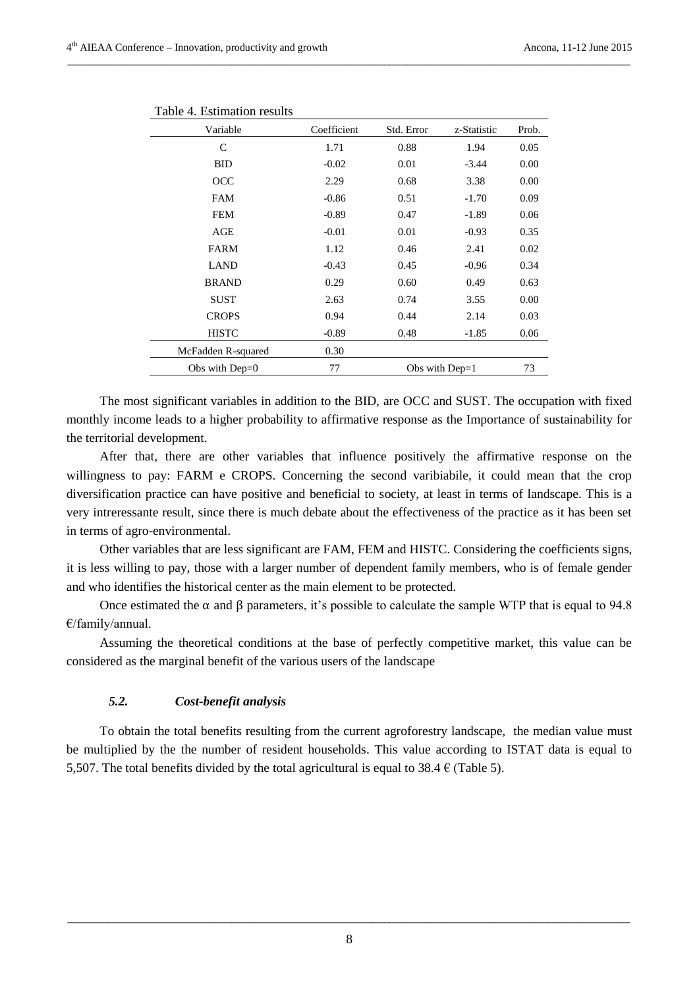| Variable           | Coefficient | Std. Error       | z-Statistic | Prob. |
|--------------------|-------------|------------------|-------------|-------|
| $\mathcal{C}$      | 1.71        | 0.88             | 1.94        | 0.05  |
| <b>BID</b>         | $-0.02$     | 0.01             | $-3.44$     | 0.00  |
| OCC                | 2.29        | 0.68             | 3.38        | 0.00  |
| <b>FAM</b>         | $-0.86$     | 0.51             | $-1.70$     | 0.09  |
| <b>FEM</b>         | $-0.89$     | 0.47             | $-1.89$     | 0.06  |
| AGE                | $-0.01$     | 0.01             | $-0.93$     | 0.35  |
| <b>FARM</b>        | 1.12        | 0.46             | 2.41        | 0.02  |
| <b>LAND</b>        | $-0.43$     | 0.45             | $-0.96$     | 0.34  |
| <b>BRAND</b>       | 0.29        | 0.60             | 0.49        | 0.63  |
| <b>SUST</b>        | 2.63        | 0.74             | 3.55        | 0.00  |
| <b>CROPS</b>       | 0.94        | 0.44             | 2.14        | 0.03  |
| <b>HISTC</b>       | $-0.89$     | 0.48             | $-1.85$     | 0.06  |
| McFadden R-squared | 0.30        |                  |             |       |
| Obs with $Dep=0$   | 77          | Obs with $Dep=1$ |             | 73    |

The most significant variables in addition to the BID, are OCC and SUST. The occupation with fixed monthly income leads to a higher probability to affirmative response as the Importance of sustainability for the territorial development.

After that, there are other variables that influence positively the affirmative response on the willingness to pay: FARM e CROPS. Concerning the second varibiabile, it could mean that the crop diversification practice can have positive and beneficial to society, at least in terms of landscape. This is a very intreressante result, since there is much debate about the effectiveness of the practice as it has been set in terms of agro-environmental.

Other variables that are less significant are FAM, FEM and HISTC. Considering the coefficients signs, it is less willing to pay, those with a larger number of dependent family members, who is of female gender and who identifies the historical center as the main element to be protected.

Once estimated the α and β parameters, it's possible to calculate the sample WTP that is equal to 94.8 €/family/annual.

Assuming the theoretical conditions at the base of perfectly competitive market, this value can be considered as the marginal benefit of the various users of the landscape

#### *5.2. Cost-benefit analysis*

To obtain the total benefits resulting from the current agroforestry landscape, the median value must be multiplied by the the number of resident households. This value according to ISTAT data is equal to 5,507. The total benefits divided by the total agricultural is equal to 38.4  $\epsilon$  (Table 5).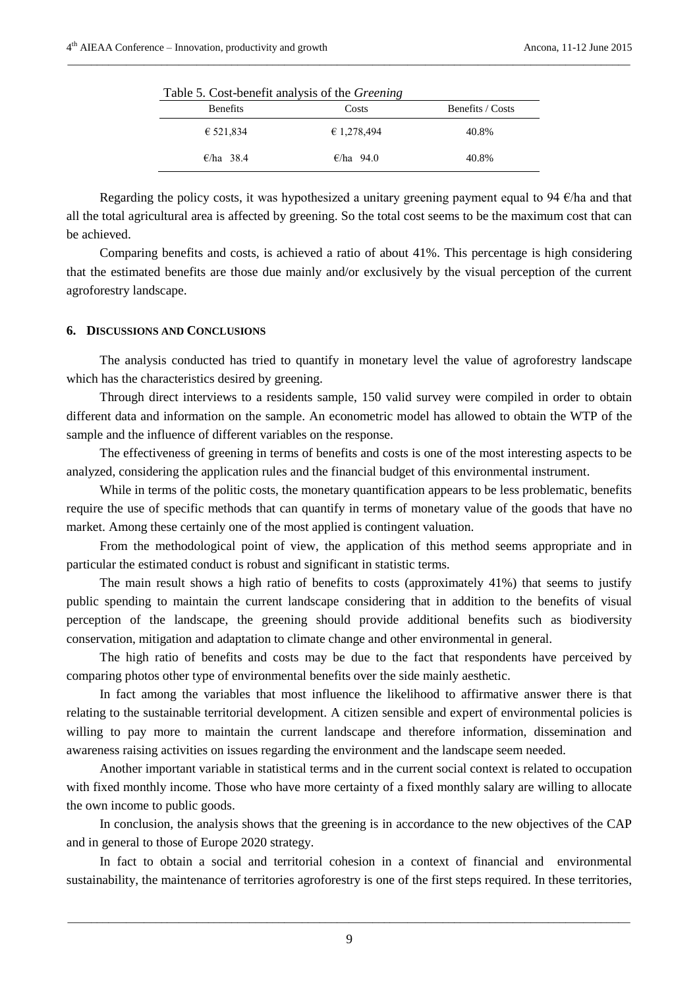| Table 5. Cost-benefit analysis of the <i>Greening</i> |                     |                  |
|-------------------------------------------------------|---------------------|------------------|
| <b>Benefits</b>                                       | Costs               | Benefits / Costs |
| € 521,834                                             | € 1,278,494         | 40.8%            |
| €/ha 38.4                                             | $\epsilon$ /ha 94.0 | 40.8%            |

Regarding the policy costs, it was hypothesized a unitary greening payment equal to 94  $\epsilon$ /ha and that all the total agricultural area is affected by greening. So the total cost seems to be the maximum cost that can be achieved.

Comparing benefits and costs, is achieved a ratio of about 41%. This percentage is high considering that the estimated benefits are those due mainly and/or exclusively by the visual perception of the current agroforestry landscape.

#### **6. DISCUSSIONS AND CONCLUSIONS**

The analysis conducted has tried to quantify in monetary level the value of agroforestry landscape which has the characteristics desired by greening.

Through direct interviews to a residents sample, 150 valid survey were compiled in order to obtain different data and information on the sample. An econometric model has allowed to obtain the WTP of the sample and the influence of different variables on the response.

The effectiveness of greening in terms of benefits and costs is one of the most interesting aspects to be analyzed, considering the application rules and the financial budget of this environmental instrument.

While in terms of the politic costs, the monetary quantification appears to be less problematic, benefits require the use of specific methods that can quantify in terms of monetary value of the goods that have no market. Among these certainly one of the most applied is contingent valuation.

From the methodological point of view, the application of this method seems appropriate and in particular the estimated conduct is robust and significant in statistic terms.

The main result shows a high ratio of benefits to costs (approximately 41%) that seems to justify public spending to maintain the current landscape considering that in addition to the benefits of visual perception of the landscape, the greening should provide additional benefits such as biodiversity conservation, mitigation and adaptation to climate change and other environmental in general.

The high ratio of benefits and costs may be due to the fact that respondents have perceived by comparing photos other type of environmental benefits over the side mainly aesthetic.

In fact among the variables that most influence the likelihood to affirmative answer there is that relating to the sustainable territorial development. A citizen sensible and expert of environmental policies is willing to pay more to maintain the current landscape and therefore information, dissemination and awareness raising activities on issues regarding the environment and the landscape seem needed.

Another important variable in statistical terms and in the current social context is related to occupation with fixed monthly income. Those who have more certainty of a fixed monthly salary are willing to allocate the own income to public goods.

In conclusion, the analysis shows that the greening is in accordance to the new objectives of the CAP and in general to those of Europe 2020 strategy.

In fact to obtain a social and territorial cohesion in a context of financial and environmental sustainability, the maintenance of territories agroforestry is one of the first steps required. In these territories,

*\_\_\_\_\_\_\_\_\_\_\_\_\_\_\_\_\_\_\_\_\_\_\_\_\_\_\_\_\_\_\_\_\_\_\_\_\_\_\_\_\_\_\_\_\_\_\_\_\_\_\_\_\_\_\_\_\_\_\_\_\_\_\_\_\_\_\_\_\_\_\_\_\_\_\_\_\_\_\_\_\_\_\_\_\_\_\_\_\_\_\_\_\_\_\_\_* 9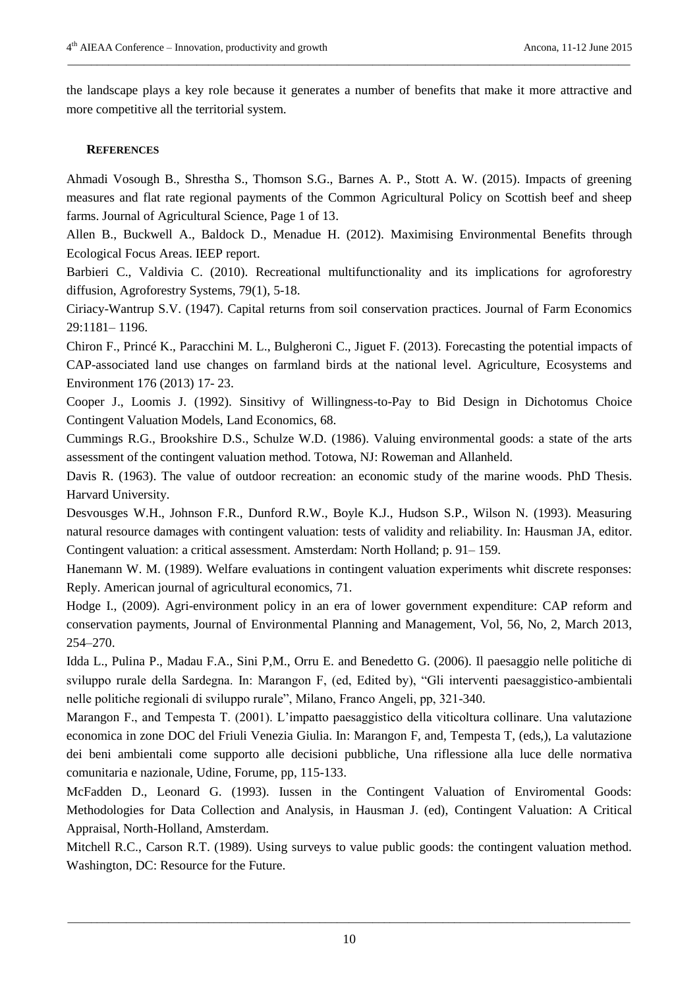the landscape plays a key role because it generates a number of benefits that make it more attractive and more competitive all the territorial system.

*\_\_\_\_\_\_\_\_\_\_\_\_\_\_\_\_\_\_\_\_\_\_\_\_\_\_\_\_\_\_\_\_\_\_\_\_\_\_\_\_\_\_\_\_\_\_\_\_\_\_\_\_\_\_\_\_\_\_\_\_\_\_\_\_\_\_\_\_\_\_\_\_\_\_\_\_\_\_\_\_\_\_\_\_\_\_\_\_\_\_\_\_\_\_\_\_*

#### **REFERENCES**

Ahmadi Vosough B., Shrestha S., Thomson S.G., Barnes A. P., Stott A. W. (2015). Impacts of greening measures and flat rate regional payments of the Common Agricultural Policy on Scottish beef and sheep farms. Journal of Agricultural Science, Page 1 of 13.

Allen B., Buckwell A., Baldock D., Menadue H. (2012). Maximising Environmental Benefits through Ecological Focus Areas. IEEP report.

Barbieri C., Valdivia C. (2010). Recreational multifunctionality and its implications for agroforestry diffusion, Agroforestry Systems, 79(1), 5-18.

Ciriacy-Wantrup S.V. (1947). Capital returns from soil conservation practices. Journal of Farm Economics 29:1181– 1196.

Chiron F., Princé K., Paracchini M. L., Bulgheroni C., Jiguet F. (2013). Forecasting the potential impacts of CAP-associated land use changes on farmland birds at the national level. Agriculture, Ecosystems and Environment 176 (2013) 17- 23.

Cooper J., Loomis J. (1992). Sinsitivy of Willingness-to-Pay to Bid Design in Dichotomus Choice Contingent Valuation Models, Land Economics, 68.

Cummings R.G., Brookshire D.S., Schulze W.D. (1986). Valuing environmental goods: a state of the arts assessment of the contingent valuation method. Totowa, NJ: Roweman and Allanheld.

Davis R. (1963). The value of outdoor recreation: an economic study of the marine woods. PhD Thesis. Harvard University.

Desvousges W.H., Johnson F.R., Dunford R.W., Boyle K.J., Hudson S.P., Wilson N. (1993). Measuring natural resource damages with contingent valuation: tests of validity and reliability. In: Hausman JA, editor. Contingent valuation: a critical assessment. Amsterdam: North Holland; p. 91– 159.

Hanemann W. M. (1989). Welfare evaluations in contingent valuation experiments whit discrete responses: Reply. American journal of agricultural economics, 71.

Hodge I., (2009). Agri-environment policy in an era of lower government expenditure: CAP reform and conservation payments, Journal of Environmental Planning and Management, Vol, 56, No, 2, March 2013, 254–270.

Idda L., Pulina P., Madau F.A., Sini P,M., Orru E. and Benedetto G. (2006). Il paesaggio nelle politiche di sviluppo rurale della Sardegna. In: Marangon F, (ed, Edited by), "Gli interventi paesaggistico-ambientali nelle politiche regionali di sviluppo rurale", Milano, Franco Angeli, pp, 321-340.

Marangon F., and Tempesta T. (2001). L'impatto paesaggistico della viticoltura collinare. Una valutazione economica in zone DOC del Friuli Venezia Giulia. In: Marangon F, and, Tempesta T, (eds,), La valutazione dei beni ambientali come supporto alle decisioni pubbliche, Una riflessione alla luce delle normativa comunitaria e nazionale, Udine, Forume, pp, 115-133.

McFadden D., Leonard G. (1993). Iussen in the Contingent Valuation of Enviromental Goods: Methodologies for Data Collection and Analysis, in Hausman J. (ed), Contingent Valuation: A Critical Appraisal, North-Holland, Amsterdam.

Mitchell R.C., Carson R.T. (1989). Using surveys to value public goods: the contingent valuation method. Washington, DC: Resource for the Future.